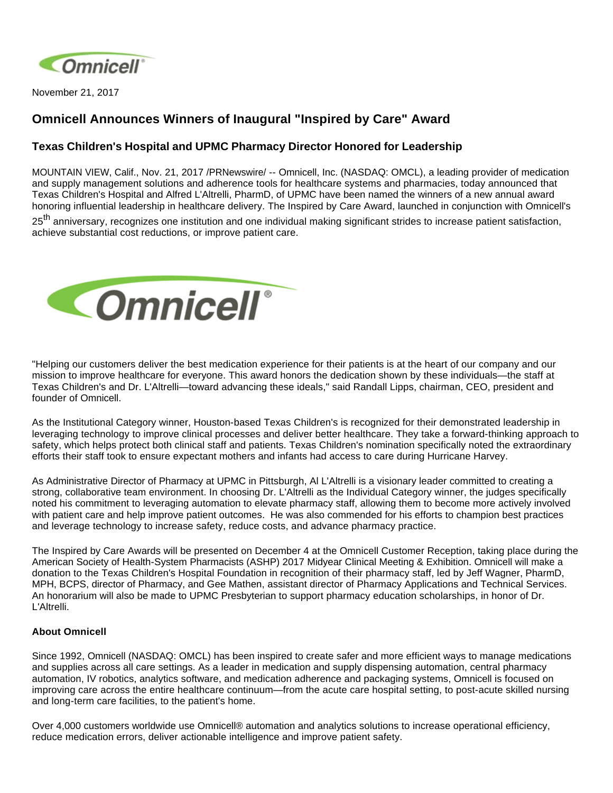

November 21, 2017

## **Omnicell Announces Winners of Inaugural "Inspired by Care" Award**

## **Texas Children's Hospital and UPMC Pharmacy Director Honored for Leadership**

MOUNTAIN VIEW, Calif., Nov. 21, 2017 /PRNewswire/ -- Omnicell, Inc. (NASDAQ: OMCL), a leading provider of medication and supply management solutions and adherence tools for healthcare systems and pharmacies, today announced that Texas Children's Hospital and Alfred L'Altrelli, PharmD, of UPMC have been named the winners of a new annual award honoring influential leadership in healthcare delivery. The Inspired by Care Award, launched in conjunction with Omnicell's

25<sup>th</sup> anniversary, recognizes one institution and one individual making significant strides to increase patient satisfaction, achieve substantial cost reductions, or improve patient care.



"Helping our customers deliver the best medication experience for their patients is at the heart of our company and our mission to improve healthcare for everyone. This award honors the dedication shown by these individuals—the staff at Texas Children's and Dr. L'Altrelli—toward advancing these ideals," said Randall Lipps, chairman, CEO, president and founder of Omnicell.

As the Institutional Category winner, Houston-based Texas Children's is recognized for their demonstrated leadership in leveraging technology to improve clinical processes and deliver better healthcare. They take a forward-thinking approach to safety, which helps protect both clinical staff and patients. Texas Children's nomination specifically noted the extraordinary efforts their staff took to ensure expectant mothers and infants had access to care during Hurricane Harvey.

As Administrative Director of Pharmacy at UPMC in Pittsburgh, Al L'Altrelli is a visionary leader committed to creating a strong, collaborative team environment. In choosing Dr. L'Altrelli as the Individual Category winner, the judges specifically noted his commitment to leveraging automation to elevate pharmacy staff, allowing them to become more actively involved with patient care and help improve patient outcomes. He was also commended for his efforts to champion best practices and leverage technology to increase safety, reduce costs, and advance pharmacy practice.

The Inspired by Care Awards will be presented on December 4 at the Omnicell Customer Reception, taking place during the American Society of Health-System Pharmacists (ASHP) 2017 Midyear Clinical Meeting & Exhibition. Omnicell will make a donation to the Texas Children's Hospital Foundation in recognition of their pharmacy staff, led by Jeff Wagner, PharmD, MPH, BCPS, director of Pharmacy, and Gee Mathen, assistant director of Pharmacy Applications and Technical Services. An honorarium will also be made to UPMC Presbyterian to support pharmacy education scholarships, in honor of Dr. L'Altrelli.

## **About Omnicell**

Since 1992, Omnicell (NASDAQ: OMCL) has been inspired to create safer and more efficient ways to manage medications and supplies across all care settings. As a leader in medication and supply dispensing automation, central pharmacy automation, IV robotics, analytics software, and medication adherence and packaging systems, Omnicell is focused on improving care across the entire healthcare continuum—from the acute care hospital setting, to post-acute skilled nursing and long-term care facilities, to the patient's home.

Over 4,000 customers worldwide use Omnicell® automation and analytics solutions to increase operational efficiency, reduce medication errors, deliver actionable intelligence and improve patient safety.